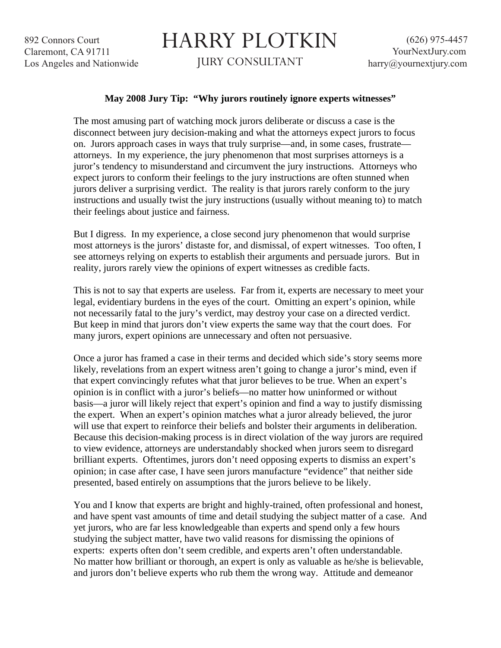892 Connors Court Claremont, CA 91711 Los Angeles and Nationwide

## HARRY PLOTKIN

JURY CONSULTANT

## **May 2008 Jury Tip: "Why jurors routinely ignore experts witnesses"**

The most amusing part of watching mock jurors deliberate or discuss a case is the disconnect between jury decision-making and what the attorneys expect jurors to focus on. Jurors approach cases in ways that truly surprise—and, in some cases, frustrate attorneys. In my experience, the jury phenomenon that most surprises attorneys is a juror's tendency to misunderstand and circumvent the jury instructions. Attorneys who expect jurors to conform their feelings to the jury instructions are often stunned when jurors deliver a surprising verdict. The reality is that jurors rarely conform to the jury instructions and usually twist the jury instructions (usually without meaning to) to match their feelings about justice and fairness.

But I digress. In my experience, a close second jury phenomenon that would surprise most attorneys is the jurors' distaste for, and dismissal, of expert witnesses. Too often, I see attorneys relying on experts to establish their arguments and persuade jurors. But in reality, jurors rarely view the opinions of expert witnesses as credible facts.

This is not to say that experts are useless. Far from it, experts are necessary to meet your legal, evidentiary burdens in the eyes of the court. Omitting an expert's opinion, while not necessarily fatal to the jury's verdict, may destroy your case on a directed verdict. But keep in mind that jurors don't view experts the same way that the court does. For many jurors, expert opinions are unnecessary and often not persuasive.

Once a juror has framed a case in their terms and decided which side's story seems more likely, revelations from an expert witness aren't going to change a juror's mind, even if that expert convincingly refutes what that juror believes to be true. When an expert's opinion is in conflict with a juror's beliefs—no matter how uninformed or without basis—a juror will likely reject that expert's opinion and find a way to justify dismissing the expert. When an expert's opinion matches what a juror already believed, the juror will use that expert to reinforce their beliefs and bolster their arguments in deliberation. Because this decision-making process is in direct violation of the way jurors are required to view evidence, attorneys are understandably shocked when jurors seem to disregard brilliant experts. Oftentimes, jurors don't need opposing experts to dismiss an expert's opinion; in case after case, I have seen jurors manufacture "evidence" that neither side presented, based entirely on assumptions that the jurors believe to be likely.

You and I know that experts are bright and highly-trained, often professional and honest, and have spent vast amounts of time and detail studying the subject matter of a case. And yet jurors, who are far less knowledgeable than experts and spend only a few hours studying the subject matter, have two valid reasons for dismissing the opinions of experts: experts often don't seem credible, and experts aren't often understandable. No matter how brilliant or thorough, an expert is only as valuable as he/she is believable, and jurors don't believe experts who rub them the wrong way. Attitude and demeanor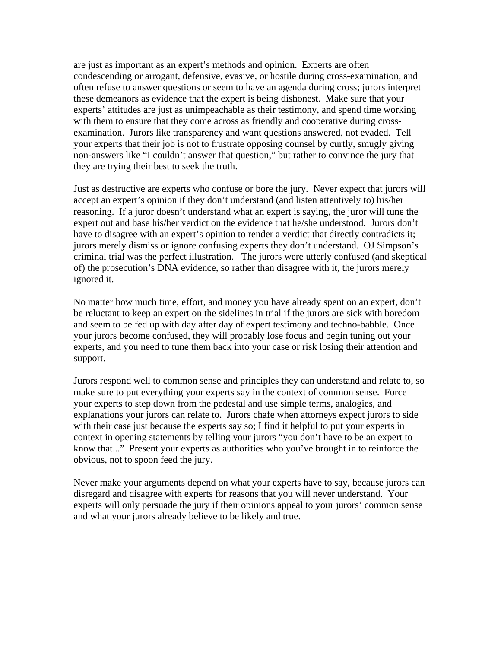are just as important as an expert's methods and opinion. Experts are often condescending or arrogant, defensive, evasive, or hostile during cross-examination, and often refuse to answer questions or seem to have an agenda during cross; jurors interpret these demeanors as evidence that the expert is being dishonest. Make sure that your experts' attitudes are just as unimpeachable as their testimony, and spend time working with them to ensure that they come across as friendly and cooperative during crossexamination. Jurors like transparency and want questions answered, not evaded. Tell your experts that their job is not to frustrate opposing counsel by curtly, smugly giving non-answers like "I couldn't answer that question," but rather to convince the jury that they are trying their best to seek the truth.

Just as destructive are experts who confuse or bore the jury. Never expect that jurors will accept an expert's opinion if they don't understand (and listen attentively to) his/her reasoning. If a juror doesn't understand what an expert is saying, the juror will tune the expert out and base his/her verdict on the evidence that he/she understood. Jurors don't have to disagree with an expert's opinion to render a verdict that directly contradicts it; jurors merely dismiss or ignore confusing experts they don't understand. OJ Simpson's criminal trial was the perfect illustration. The jurors were utterly confused (and skeptical of) the prosecution's DNA evidence, so rather than disagree with it, the jurors merely ignored it.

No matter how much time, effort, and money you have already spent on an expert, don't be reluctant to keep an expert on the sidelines in trial if the jurors are sick with boredom and seem to be fed up with day after day of expert testimony and techno-babble. Once your jurors become confused, they will probably lose focus and begin tuning out your experts, and you need to tune them back into your case or risk losing their attention and support.

Jurors respond well to common sense and principles they can understand and relate to, so make sure to put everything your experts say in the context of common sense. Force your experts to step down from the pedestal and use simple terms, analogies, and explanations your jurors can relate to. Jurors chafe when attorneys expect jurors to side with their case just because the experts say so; I find it helpful to put your experts in context in opening statements by telling your jurors "you don't have to be an expert to know that..." Present your experts as authorities who you've brought in to reinforce the obvious, not to spoon feed the jury.

Never make your arguments depend on what your experts have to say, because jurors can disregard and disagree with experts for reasons that you will never understand. Your experts will only persuade the jury if their opinions appeal to your jurors' common sense and what your jurors already believe to be likely and true.